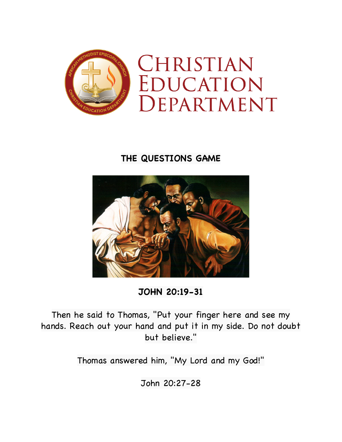

## **THE QUESTIONS GAME**



**JOHN 20:19-31**

Then he said to Thomas, "Put your finger here and see my hands. Reach out your hand and put it in my side. Do not doubt but believe."

Thomas answered him, "My Lord and my God!"

John 20:27-28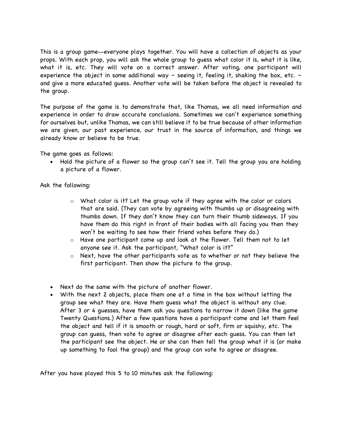This is a group game--everyone plays together. You will have a collection of objects as your props. With each prop, you will ask the whole group to guess what color it is, what it is like, what it is, etc. They will vote on a correct answer. After voting, one participant will experience the object in some additional way – seeing it, feeling it, shaking the box, etc. – and give a more educated guess. Another vote will be taken before the object is revealed to the group.

The purpose of the game is to demonstrate that, like Thomas, we all need information and experience in order to draw accurate conclusions. Sometimes we can't experience something for ourselves but, unlike Thomas, we can still believe it to be true because of other information we are given, our past experience, our trust in the source of information, and things we already know or believe to be true.

The game goes as follows:

• Hold the picture of a flower so the group can't see it. Tell the group you are holding a picture of a flower.

Ask the following:

- $\circ$  What color is it? Let the group vote if they agree with the color or colors that are said. (They can vote by agreeing with thumbs up or disagreeing with thumbs down. If they don't know they can turn their thumb sideways. If you have them do this right in front of their bodies with all facing you then they won't be waiting to see how their friend votes before they do.)
- $\circ$  Have one participant come up and look at the flower. Tell them not to let anyone see it. Ask the participant, "What color is it?"
- $\circ$  Next, have the other participants vote as to whether or not they believe the first participant. Then show the picture to the group.
- Next do the same with the picture of another flower.
- With the next 2 objects, place them one at a time in the box without letting the group see what they are. Have them guess what the object is without any clue. After 3 or 4 guesses, have them ask you questions to narrow it down (like the game Twenty Questions.) After a few questions have a participant come and let them feel the object and tell if it is smooth or rough, hard or soft, firm or squishy, etc. The group can guess, then vote to agree or disagree after each guess. You can then let the participant see the object. He or she can then tell the group what it is (or make up something to fool the group) and the group can vote to agree or disagree.

After you have played this 5 to 10 minutes ask the following: